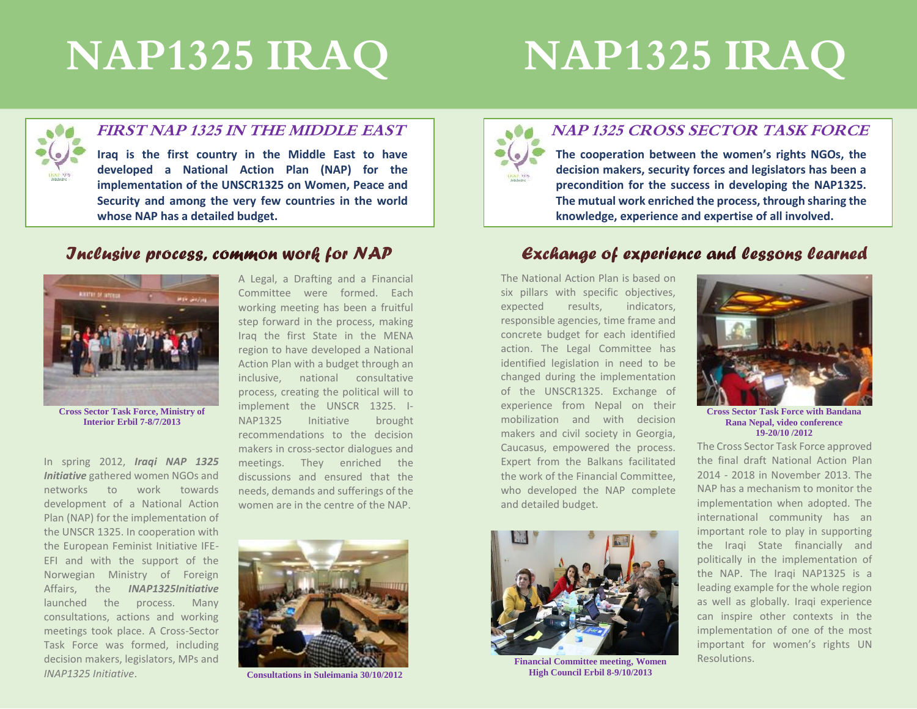# **NAP1325 IRAQ**

# **NAP1325 IRAQ**



#### **FIRST NAP 1325 IN THE MIDDLE EAST**

**Iraq is the first country in the Middle East to have developed a National Action Plan (NAP) for the implementation of the UNSCR1325 on Women, Peace and Security and among the very few countries in the world whose NAP has a detailed budget.** 

#### Jnclusive process, common work for NAP



**Cross Sector Task Force, Ministry of Interior Erbil 7-8/7/2013**

In spring 2012, *Iraqi NAP 1325 Initiative* gathered women NGOs and networks to work towards development of a National Action Plan (NAP) for the implementation of the UNSCR 1325. In cooperation with the European Feminist Initiative IFE-EFI and with the support of the Norwegian Ministry of Foreign Affairs, the *INAP1325Initiative*  launched the process. Many consultations, actions and working meetings took place. A Cross-Sector Task Force was formed, including decision makers, legislators, MPs and *INAP1325 Initiative*.

A Legal, a Drafting and a Financial Committee were formed. Each working meeting has been a fruitful step forward in the process, making Iraq the first State in the MENA region to have developed a National Action Plan with a budget through an inclusive, national consultative process, creating the political will to implement the UNSCR 1325. I-NAP1325 Initiative brought recommendations to the decision makers in cross-sector dialogues and meetings. They enriched the discussions and ensured that the needs, demands and sufferings of the women are in the centre of the NAP.



**Consultations in Suleimania 30/10/2012**



#### **NAP 1325 CROSS SECTOR TASK FORCE**

**The cooperation between the women's rights NGOs, the decision makers, security forces and legislators has been a precondition for the success in developing the NAP1325. The mutual work enriched the process, through sharing the knowledge, experience and expertise of all involved.** 

### Exchange of experience and lessons learned

The National Action Plan is based on six pillars with specific objectives, expected results, indicators, responsible agencies, time frame and concrete budget for each identified action. The Legal Committee has identified legislation in need to be changed during the implementation of the UNSCR1325. Exchange of experience from Nepal on their mobilization and with decision makers and civil society in Georgia, Caucasus, empowered the process. Expert from the Balkans facilitated the work of the Financial Committee, who developed the NAP complete and detailed budget.



**Financial Committee meeting, Women High Council Erbil 8-9/10/2013**



**Cross Sector Task Force with Bandana Rana Nepal, video conference 19-20/10 /2012**

The Cross Sector Task Force approved the final draft National Action Plan 2014 - 2018 in November 2013. The NAP has a mechanism to monitor the implementation when adopted. The international community has an important role to play in supporting the Iraqi State financially and politically in the implementation of the NAP. The Iraqi NAP1325 is a leading example for the whole region as well as globally. Iraqi experience can inspire other contexts in the implementation of one of the most important for women's rights UN Resolutions.